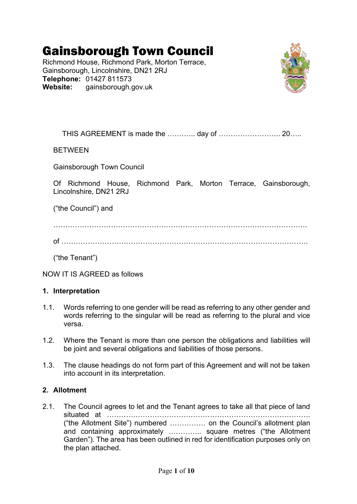# Gainsborough Town Council

Richmond House, Richmond Park, Morton Terrace, Gainsborough, Lincolnshire, DN21 2RJ **Telephone:** 01427 811573 **Website:** gainsborough.gov.uk



THIS AGREEMENT is made the .……….. day of …………………….. 20…..

BETWEEN

Gainsborough Town Council

Of Richmond House, Richmond Park, Morton Terrace, Gainsborough, Lincolnshire, DN21 2RJ

("the Council") and

…………………………………………………………………………………………….

of ………………………………………………………………………………………….

("the Tenant")

NOW IT IS AGREED as follows

#### **1. Interpretation**

- 1.1. Words referring to one gender will be read as referring to any other gender and words referring to the singular will be read as referring to the plural and vice versa.
- 1.2. Where the Tenant is more than one person the obligations and liabilities will be joint and several obligations and liabilities of those persons.
- 1.3. The clause headings do not form part of this Agreement and will not be taken into account in its interpretation.

# **2. Allotment**

2.1. The Council agrees to let and the Tenant agrees to take all that piece of land situated at …………………………………………………………………………. ("the Allotment Site") numbered …………… on the Council's allotment plan and containing approximately ………….. square metres ("the Allotment Garden"). The area has been outlined in red for identification purposes only on the plan attached.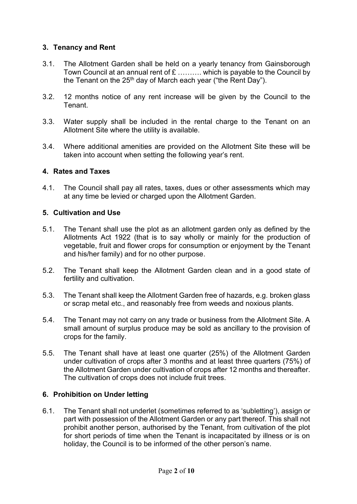# **3. Tenancy and Rent**

- 3.1. The Allotment Garden shall be held on a yearly tenancy from Gainsborough Town Council at an annual rent of £ .......... which is payable to the Council by the Tenant on the  $25<sup>th</sup>$  day of March each year ("the Rent Day").
- 3.2. 12 months notice of any rent increase will be given by the Council to the Tenant.
- 3.3. Water supply shall be included in the rental charge to the Tenant on an Allotment Site where the utility is available.
- 3.4. Where additional amenities are provided on the Allotment Site these will be taken into account when setting the following year's rent.

#### **4. Rates and Taxes**

4.1. The Council shall pay all rates, taxes, dues or other assessments which may at any time be levied or charged upon the Allotment Garden.

#### **5. Cultivation and Use**

- 5.1. The Tenant shall use the plot as an allotment garden only as defined by the Allotments Act 1922 (that is to say wholly or mainly for the production of vegetable, fruit and flower crops for consumption or enjoyment by the Tenant and his/her family) and for no other purpose.
- 5.2. The Tenant shall keep the Allotment Garden clean and in a good state of fertility and cultivation.
- 5.3. The Tenant shall keep the Allotment Garden free of hazards, e.g. broken glass or scrap metal etc., and reasonably free from weeds and noxious plants.
- 5.4. The Tenant may not carry on any trade or business from the Allotment Site. A small amount of surplus produce may be sold as ancillary to the provision of crops for the family.
- 5.5. The Tenant shall have at least one quarter (25%) of the Allotment Garden under cultivation of crops after 3 months and at least three quarters (75%) of the Allotment Garden under cultivation of crops after 12 months and thereafter. The cultivation of crops does not include fruit trees.

### **6. Prohibition on Under letting**

6.1. The Tenant shall not underlet (sometimes referred to as 'subletting'), assign or part with possession of the Allotment Garden or any part thereof. This shall not prohibit another person, authorised by the Tenant, from cultivation of the plot for short periods of time when the Tenant is incapacitated by illness or is on holiday, the Council is to be informed of the other person's name.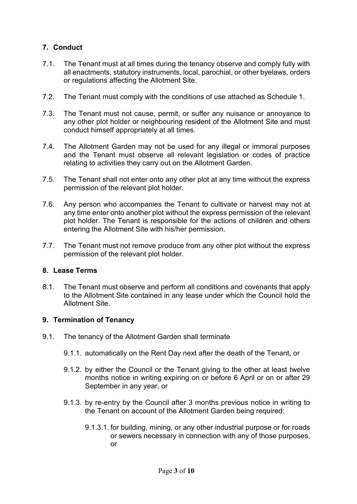# **7. Conduct**

- 7.1. The Tenant must at all times during the tenancy observe and comply fully with all enactments, statutory instruments, local, parochial, or other byelaws, orders or regulations affecting the Allotment Site.
- 7.2. The Tenant must comply with the conditions of use attached as Schedule 1.
- 7.3. The Tenant must not cause, permit, or suffer any nuisance or annoyance to any other plot holder or neighbouring resident of the Allotment Site and must conduct himself appropriately at all times.
- 7.4. The Allotment Garden may not be used for any illegal or immoral purposes and the Tenant must observe all relevant legislation or codes of practice relating to activities they carry out on the Allotment Garden.
- 7.5. The Tenant shall not enter onto any other plot at any time without the express permission of the relevant plot holder.
- 7.6. Any person who accompanies the Tenant to cultivate or harvest may not at any time enter onto another plot without the express permission of the relevant plot holder. The Tenant is responsible for the actions of children and others entering the Allotment Site with his/her permission.
- 7.7. The Tenant must not remove produce from any other plot without the express permission of the relevant plot holder.

#### **8. Lease Terms**

8.1. The Tenant must observe and perform all conditions and covenants that apply to the Allotment Site contained in any lease under which the Council hold the Allotment Site.

### **9. Termination of Tenancy**

- 9.1. The tenancy of the Allotment Garden shall terminate
	- 9.1.1. automatically on the Rent Day next after the death of the Tenant, or
	- 9.1.2. by either the Council or the Tenant giving to the other at least twelve months notice in writing expiring on or before 6 April or on or after 29 September in any year, or
	- 9.1.3. by re-entry by the Council after 3 months previous notice in writing to the Tenant on account of the Allotment Garden being required:
		- 9.1.3.1. for building, mining, or any other industrial purpose or for roads or sewers necessary in connection with any of those purposes, or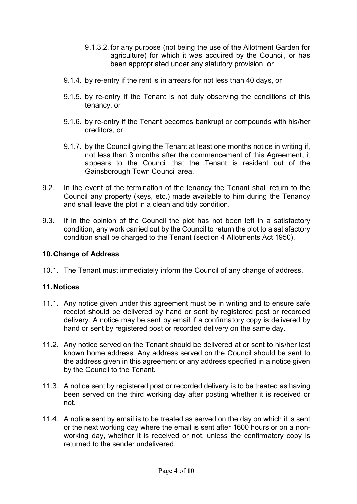- 9.1.3.2. for any purpose (not being the use of the Allotment Garden for agriculture) for which it was acquired by the Council, or has been appropriated under any statutory provision, or
- 9.1.4. by re-entry if the rent is in arrears for not less than 40 days, or
- 9.1.5. by re-entry if the Tenant is not duly observing the conditions of this tenancy, or
- 9.1.6. by re-entry if the Tenant becomes bankrupt or compounds with his/her creditors, or
- 9.1.7. by the Council giving the Tenant at least one months notice in writing if, not less than 3 months after the commencement of this Agreement, it appears to the Council that the Tenant is resident out of the Gainsborough Town Council area.
- 9.2. In the event of the termination of the tenancy the Tenant shall return to the Council any property (keys, etc.) made available to him during the Tenancy and shall leave the plot in a clean and tidy condition.
- 9.3. If in the opinion of the Council the plot has not been left in a satisfactory condition, any work carried out by the Council to return the plot to a satisfactory condition shall be charged to the Tenant (section 4 Allotments Act 1950).

#### **10.Change of Address**

10.1. The Tenant must immediately inform the Council of any change of address.

### **11.Notices**

- 11.1. Any notice given under this agreement must be in writing and to ensure safe receipt should be delivered by hand or sent by registered post or recorded delivery. A notice may be sent by email if a confirmatory copy is delivered by hand or sent by registered post or recorded delivery on the same day.
- 11.2. Any notice served on the Tenant should be delivered at or sent to his/her last known home address. Any address served on the Council should be sent to the address given in this agreement or any address specified in a notice given by the Council to the Tenant.
- 11.3. A notice sent by registered post or recorded delivery is to be treated as having been served on the third working day after posting whether it is received or not.
- 11.4. A notice sent by email is to be treated as served on the day on which it is sent or the next working day where the email is sent after 1600 hours or on a nonworking day, whether it is received or not, unless the confirmatory copy is returned to the sender undelivered.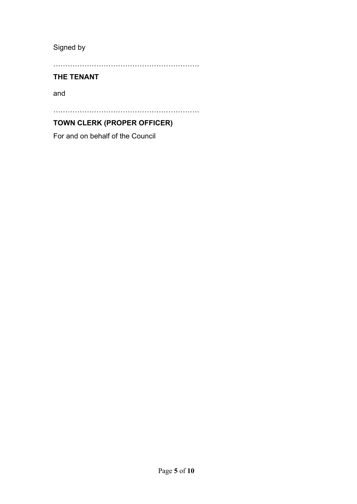Signed by

…………………………………………………….

# **THE TENANT**

and

…………………………………………………….

# **TOWN CLERK (PROPER OFFICER)**

For and on behalf of the Council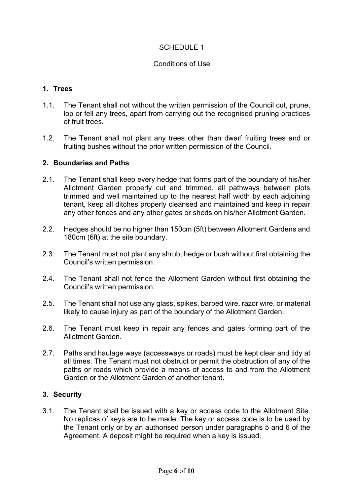# SCHEDULE 1

#### Conditions of Use

#### **1. Trees**

- 1.1. The Tenant shall not without the written permission of the Council cut, prune, lop or fell any trees, apart from carrying out the recognised pruning practices of fruit trees.
- 1.2. The Tenant shall not plant any trees other than dwarf fruiting trees and or fruiting bushes without the prior written permission of the Council.

#### **2. Boundaries and Paths**

- 2.1. The Tenant shall keep every hedge that forms part of the boundary of his/her Allotment Garden properly cut and trimmed, all pathways between plots trimmed and well maintained up to the nearest half width by each adjoining tenant, keep all ditches properly cleansed and maintained and keep in repair any other fences and any other gates or sheds on his/her Allotment Garden.
- 2.2. Hedges should be no higher than 150cm (5ft) between Allotment Gardens and 180cm (6ft) at the site boundary.
- 2.3. The Tenant must not plant any shrub, hedge or bush without first obtaining the Council's written permission.
- 2.4. The Tenant shall not fence the Allotment Garden without first obtaining the Council's written permission.
- 2.5. The Tenant shall not use any glass, spikes, barbed wire, razor wire, or material likely to cause injury as part of the boundary of the Allotment Garden.
- 2.6. The Tenant must keep in repair any fences and gates forming part of the Allotment Garden.
- 2.7. Paths and haulage ways (accessways or roads) must be kept clear and tidy at all times. The Tenant must not obstruct or permit the obstruction of any of the paths or roads which provide a means of access to and from the Allotment Garden or the Allotment Garden of another tenant.

#### **3. Security**

3.1. The Tenant shall be issued with a key or access code to the Allotment Site. No replicas of keys are to be made. The key or access code is to be used by the Tenant only or by an authorised person under paragraphs 5 and 6 of the Agreement. A deposit might be required when a key is issued.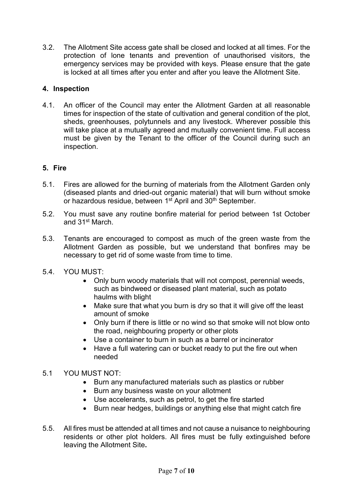3.2. The Allotment Site access gate shall be closed and locked at all times. For the protection of lone tenants and prevention of unauthorised visitors, the emergency services may be provided with keys. Please ensure that the gate is locked at all times after you enter and after you leave the Allotment Site.

# **4. Inspection**

4.1. An officer of the Council may enter the Allotment Garden at all reasonable times for inspection of the state of cultivation and general condition of the plot, sheds, greenhouses, polytunnels and any livestock. Wherever possible this will take place at a mutually agreed and mutually convenient time. Full access must be given by the Tenant to the officer of the Council during such an inspection.

# **5. Fire**

- 5.1. Fires are allowed for the burning of materials from the Allotment Garden only (diseased plants and dried-out organic material) that will burn without smoke or hazardous residue, between 1<sup>st</sup> April and 30<sup>th</sup> September.
- 5.2. You must save any routine bonfire material for period between 1st October and 31st March.
- 5.3. Tenants are encouraged to compost as much of the green waste from the Allotment Garden as possible, but we understand that bonfires may be necessary to get rid of some waste from time to time.
- 5.4. YOU MUST:
	- Only burn woody materials that will not compost, perennial weeds, such as bindweed or diseased plant material, such as potato haulms with blight
	- Make sure that what you burn is dry so that it will give off the least amount of smoke
	- Only burn if there is little or no wind so that smoke will not blow onto the road, neighbouring property or other plots
	- Use a container to burn in such as a barrel or incinerator
	- Have a full watering can or bucket ready to put the fire out when needed

# 5.1 YOU MUST NOT:

- Burn any manufactured materials such as plastics or rubber
- Burn any business waste on your allotment
- Use accelerants, such as petrol, to get the fire started
- Burn near hedges, buildings or anything else that might catch fire
- 5.5. All fires must be attended at all times and not cause a nuisance to neighbouring residents or other plot holders. All fires must be fully extinguished before leaving the Allotment Site**.**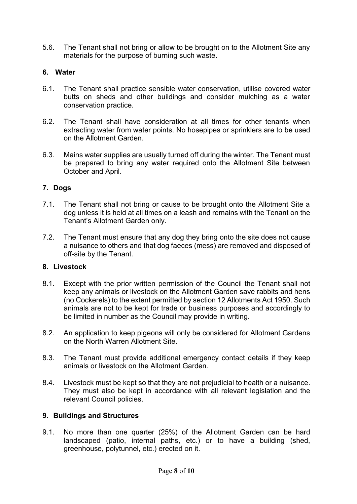5.6. The Tenant shall not bring or allow to be brought on to the Allotment Site any materials for the purpose of burning such waste.

# **6. Water**

- 6.1. The Tenant shall practice sensible water conservation, utilise covered water butts on sheds and other buildings and consider mulching as a water conservation practice.
- 6.2. The Tenant shall have consideration at all times for other tenants when extracting water from water points. No hosepipes or sprinklers are to be used on the Allotment Garden.
- 6.3. Mains water supplies are usually turned off during the winter. The Tenant must be prepared to bring any water required onto the Allotment Site between October and April.

# **7. Dogs**

- 7.1. The Tenant shall not bring or cause to be brought onto the Allotment Site a dog unless it is held at all times on a leash and remains with the Tenant on the Tenant's Allotment Garden only.
- 7.2. The Tenant must ensure that any dog they bring onto the site does not cause a nuisance to others and that dog faeces (mess) are removed and disposed of off-site by the Tenant.

# **8. Livestock**

- 8.1. Except with the prior written permission of the Council the Tenant shall not keep any animals or livestock on the Allotment Garden save rabbits and hens (no Cockerels) to the extent permitted by section 12 Allotments Act 1950. Such animals are not to be kept for trade or business purposes and accordingly to be limited in number as the Council may provide in writing.
- 8.2. An application to keep pigeons will only be considered for Allotment Gardens on the North Warren Allotment Site.
- 8.3. The Tenant must provide additional emergency contact details if they keep animals or livestock on the Allotment Garden.
- 8.4. Livestock must be kept so that they are not prejudicial to health or a nuisance. They must also be kept in accordance with all relevant legislation and the relevant Council policies.

### **9. Buildings and Structures**

9.1. No more than one quarter (25%) of the Allotment Garden can be hard landscaped (patio, internal paths, etc.) or to have a building (shed, greenhouse, polytunnel, etc.) erected on it.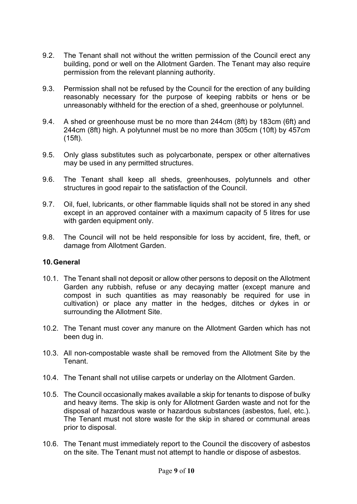- 9.2. The Tenant shall not without the written permission of the Council erect any building, pond or well on the Allotment Garden. The Tenant may also require permission from the relevant planning authority.
- 9.3. Permission shall not be refused by the Council for the erection of any building reasonably necessary for the purpose of keeping rabbits or hens or be unreasonably withheld for the erection of a shed, greenhouse or polytunnel.
- 9.4. A shed or greenhouse must be no more than 244cm (8ft) by 183cm (6ft) and 244cm (8ft) high. A polytunnel must be no more than 305cm (10ft) by 457cm (15ft).
- 9.5. Only glass substitutes such as polycarbonate, perspex or other alternatives may be used in any permitted structures.
- 9.6. The Tenant shall keep all sheds, greenhouses, polytunnels and other structures in good repair to the satisfaction of the Council.
- 9.7. Oil, fuel, lubricants, or other flammable liquids shall not be stored in any shed except in an approved container with a maximum capacity of 5 litres for use with garden equipment only.
- 9.8. The Council will not be held responsible for loss by accident, fire, theft, or damage from Allotment Garden.

#### **10.General**

- 10.1. The Tenant shall not deposit or allow other persons to deposit on the Allotment Garden any rubbish, refuse or any decaying matter (except manure and compost in such quantities as may reasonably be required for use in cultivation) or place any matter in the hedges, ditches or dykes in or surrounding the Allotment Site.
- 10.2. The Tenant must cover any manure on the Allotment Garden which has not been dug in.
- 10.3. All non-compostable waste shall be removed from the Allotment Site by the Tenant.
- 10.4. The Tenant shall not utilise carpets or underlay on the Allotment Garden.
- 10.5. The Council occasionally makes available a skip for tenants to dispose of bulky and heavy items. The skip is only for Allotment Garden waste and not for the disposal of hazardous waste or hazardous substances (asbestos, fuel, etc.). The Tenant must not store waste for the skip in shared or communal areas prior to disposal.
- 10.6. The Tenant must immediately report to the Council the discovery of asbestos on the site. The Tenant must not attempt to handle or dispose of asbestos.